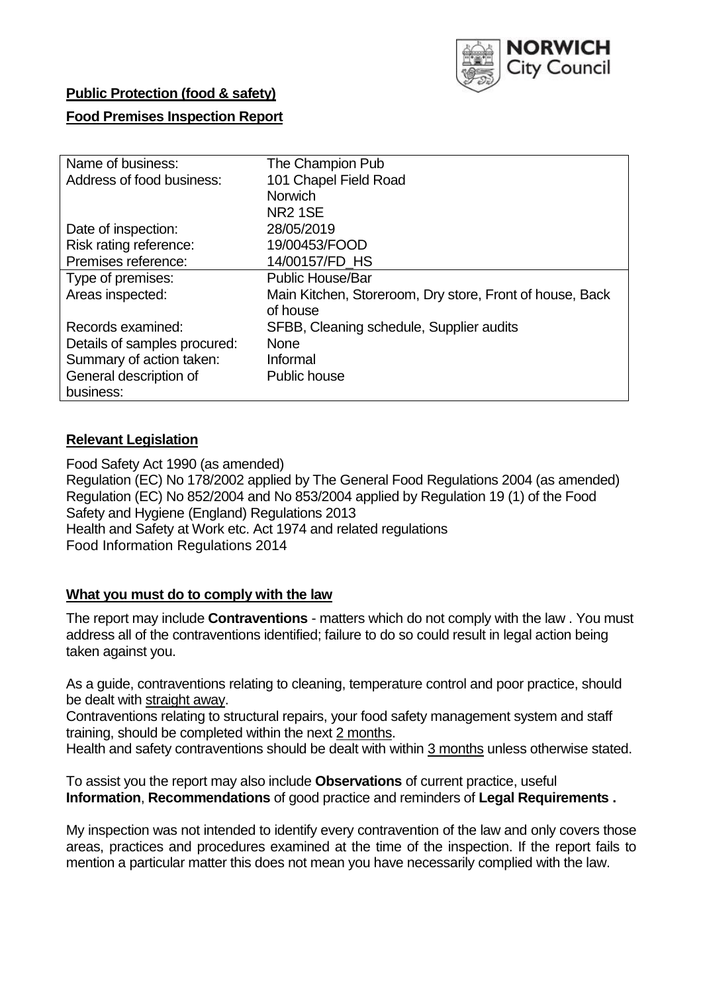

### **Public Protection (food & safety)**

### **Food Premises Inspection Report**

| Name of business:            | The Champion Pub                                         |
|------------------------------|----------------------------------------------------------|
| Address of food business:    | 101 Chapel Field Road                                    |
|                              | <b>Norwich</b>                                           |
|                              | <b>NR2 1SE</b>                                           |
| Date of inspection:          | 28/05/2019                                               |
| Risk rating reference:       | 19/00453/FOOD                                            |
| Premises reference:          | 14/00157/FD_HS                                           |
| Type of premises:            | <b>Public House/Bar</b>                                  |
| Areas inspected:             | Main Kitchen, Storeroom, Dry store, Front of house, Back |
|                              | of house                                                 |
| Records examined:            | SFBB, Cleaning schedule, Supplier audits                 |
| Details of samples procured: | <b>None</b>                                              |
| Summary of action taken:     | Informal                                                 |
| General description of       | <b>Public house</b>                                      |
| business:                    |                                                          |

### **Relevant Legislation**

Food Safety Act 1990 (as amended) Regulation (EC) No 178/2002 applied by The General Food Regulations 2004 (as amended) Regulation (EC) No 852/2004 and No 853/2004 applied by Regulation 19 (1) of the Food Safety and Hygiene (England) Regulations 2013 Health and Safety at Work etc. Act 1974 and related regulations Food Information Regulations 2014

### **What you must do to comply with the law**

The report may include **Contraventions** - matters which do not comply with the law . You must address all of the contraventions identified; failure to do so could result in legal action being taken against you.

As a guide, contraventions relating to cleaning, temperature control and poor practice, should be dealt with straight away.

Contraventions relating to structural repairs, your food safety management system and staff training, should be completed within the next 2 months.

Health and safety contraventions should be dealt with within 3 months unless otherwise stated.

To assist you the report may also include **Observations** of current practice, useful **Information**, **Recommendations** of good practice and reminders of **Legal Requirements .**

My inspection was not intended to identify every contravention of the law and only covers those areas, practices and procedures examined at the time of the inspection. If the report fails to mention a particular matter this does not mean you have necessarily complied with the law.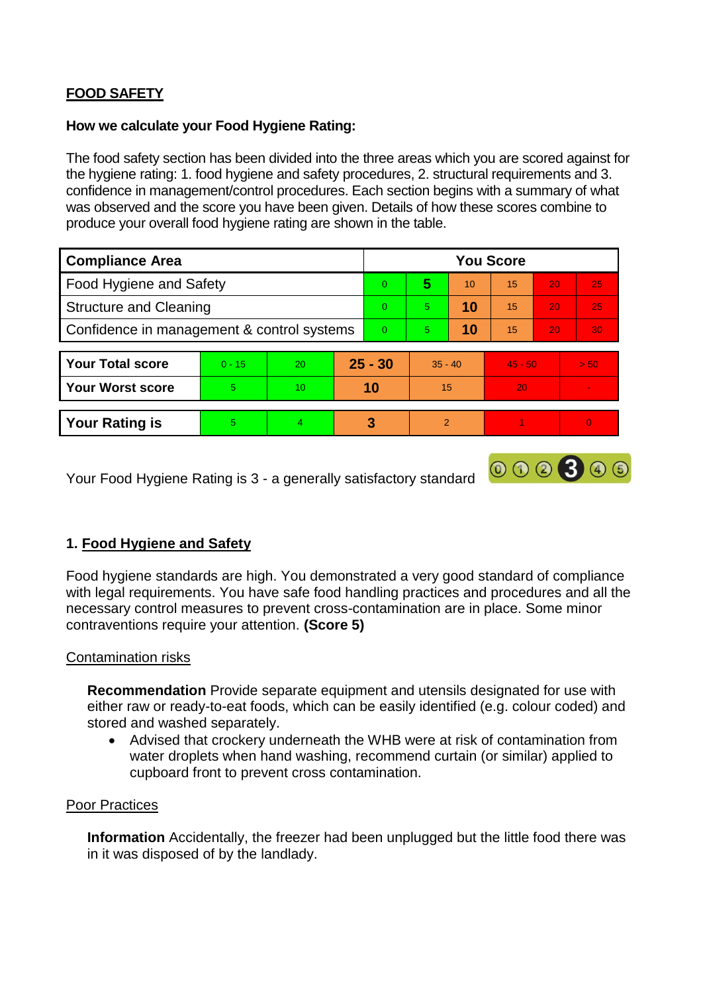# **FOOD SAFETY**

#### **How we calculate your Food Hygiene Rating:**

The food safety section has been divided into the three areas which you are scored against for the hygiene rating: 1. food hygiene and safety procedures, 2. structural requirements and 3. confidence in management/control procedures. Each section begins with a summary of what was observed and the score you have been given. Details of how these scores combine to produce your overall food hygiene rating are shown in the table.

| <b>Compliance Area</b>                     |          |    |          | <b>You Score</b> |                |    |           |                 |          |  |  |
|--------------------------------------------|----------|----|----------|------------------|----------------|----|-----------|-----------------|----------|--|--|
| Food Hygiene and Safety                    |          |    |          | $\Omega$         | 5              | 10 | 15        | 20              | 25       |  |  |
| <b>Structure and Cleaning</b>              |          |    |          | $\Omega$         | 5              | 10 | 15        | 20              | 25       |  |  |
| Confidence in management & control systems |          |    | $\Omega$ | 5 <sup>5</sup>   | 10             | 15 | 20        | 30 <sup>°</sup> |          |  |  |
|                                            |          |    |          |                  |                |    |           |                 |          |  |  |
| <b>Your Total score</b>                    | $0 - 15$ | 20 |          | $25 - 30$        | $35 - 40$      |    | $45 - 50$ |                 | > 50     |  |  |
| <b>Your Worst score</b>                    | 5        | 10 |          | 10               | 15             |    | 20        |                 |          |  |  |
|                                            |          |    |          |                  |                |    |           |                 |          |  |  |
| <b>Your Rating is</b>                      | 5        | 4  |          | 3                | $\overline{2}$ |    |           |                 | $\Omega$ |  |  |

Your Food Hygiene Rating is 3 - a generally satisfactory standard

## **1. Food Hygiene and Safety**

Food hygiene standards are high. You demonstrated a very good standard of compliance with legal requirements. You have safe food handling practices and procedures and all the necessary control measures to prevent cross-contamination are in place. Some minor contraventions require your attention. **(Score 5)**

000300

### Contamination risks

**Recommendation** Provide separate equipment and utensils designated for use with either raw or ready-to-eat foods, which can be easily identified (e.g. colour coded) and stored and washed separately.

 Advised that crockery underneath the WHB were at risk of contamination from water droplets when hand washing, recommend curtain (or similar) applied to cupboard front to prevent cross contamination.

### Poor Practices

**Information** Accidentally, the freezer had been unplugged but the little food there was in it was disposed of by the landlady.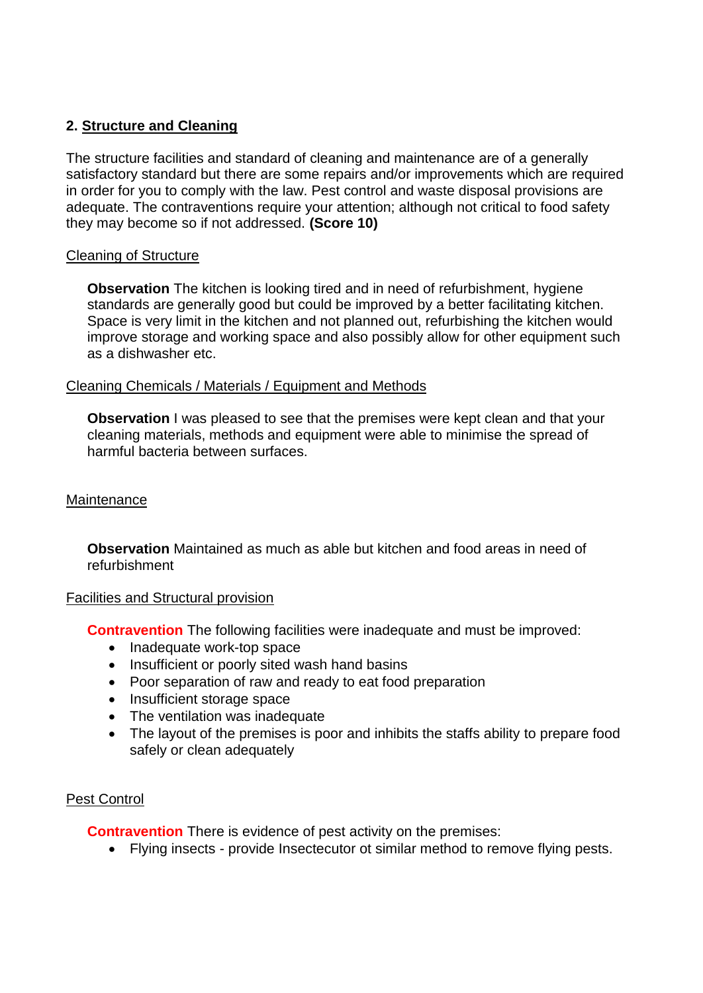### **2. Structure and Cleaning**

The structure facilities and standard of cleaning and maintenance are of a generally satisfactory standard but there are some repairs and/or improvements which are required in order for you to comply with the law. Pest control and waste disposal provisions are adequate. The contraventions require your attention; although not critical to food safety they may become so if not addressed. **(Score 10)**

#### Cleaning of Structure

**Observation** The kitchen is looking tired and in need of refurbishment, hygiene standards are generally good but could be improved by a better facilitating kitchen. Space is very limit in the kitchen and not planned out, refurbishing the kitchen would improve storage and working space and also possibly allow for other equipment such as a dishwasher etc.

### Cleaning Chemicals / Materials / Equipment and Methods

**Observation** I was pleased to see that the premises were kept clean and that your cleaning materials, methods and equipment were able to minimise the spread of harmful bacteria between surfaces.

#### **Maintenance**

**Observation** Maintained as much as able but kitchen and food areas in need of refurbishment

#### Facilities and Structural provision

**Contravention** The following facilities were inadequate and must be improved:

- Inadequate work-top space
- Insufficient or poorly sited wash hand basins
- Poor separation of raw and ready to eat food preparation
- Insufficient storage space
- The ventilation was inadequate
- The layout of the premises is poor and inhibits the staffs ability to prepare food safely or clean adequately

### Pest Control

**Contravention** There is evidence of pest activity on the premises:

Flying insects - provide Insectecutor ot similar method to remove flying pests.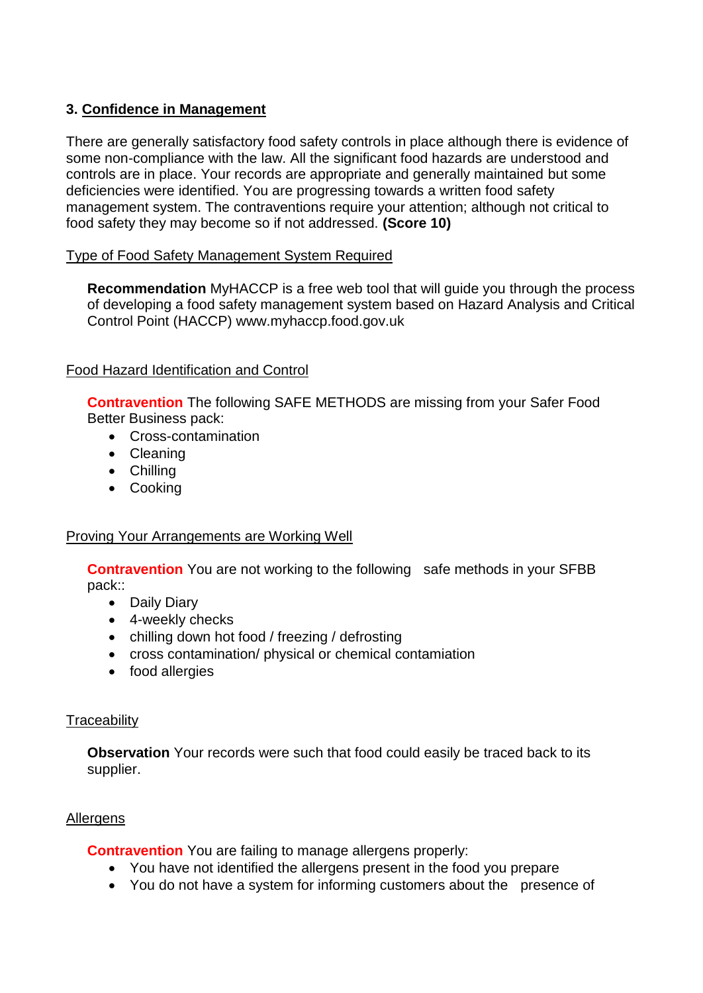## **3. Confidence in Management**

There are generally satisfactory food safety controls in place although there is evidence of some non-compliance with the law. All the significant food hazards are understood and controls are in place. Your records are appropriate and generally maintained but some deficiencies were identified. You are progressing towards a written food safety management system. The contraventions require your attention; although not critical to food safety they may become so if not addressed. **(Score 10)**

#### Type of Food Safety Management System Required

**Recommendation** MyHACCP is a free web tool that will guide you through the process of developing a food safety management system based on Hazard Analysis and Critical Control Point (HACCP) www.myhaccp.food.gov.uk

### Food Hazard Identification and Control

**Contravention** The following SAFE METHODS are missing from your Safer Food Better Business pack:

- Cross-contamination
- Cleaning
- Chilling
- Cooking

### Proving Your Arrangements are Working Well

**Contravention** You are not working to the following safe methods in your SFBB pack::

- Daily Diary
- 4-weekly checks
- chilling down hot food / freezing / defrosting
- cross contamination/ physical or chemical contamiation
- food allergies

### **Traceability**

**Observation** Your records were such that food could easily be traced back to its supplier.

### **Allergens**

**Contravention** You are failing to manage allergens properly:

- You have not identified the allergens present in the food you prepare
- You do not have a system for informing customers about the presence of